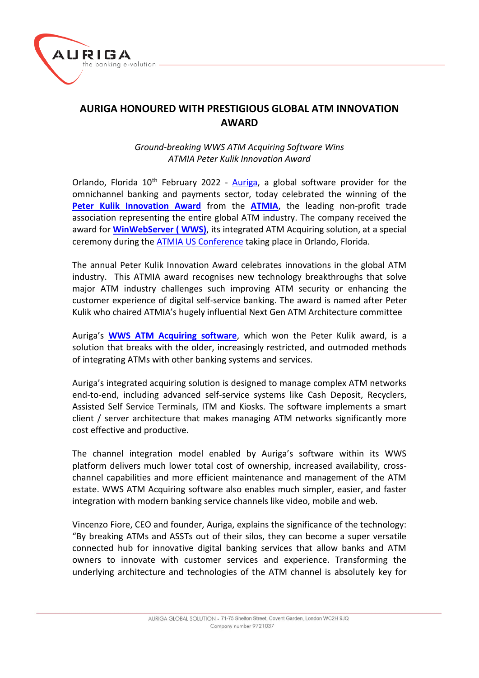

## **AURIGA HONOURED WITH PRESTIGIOUS GLOBAL ATM INNOVATION AWARD**

*Ground-breaking WWS ATM Acquiring Software Wins ATMIA Peter Kulik Innovation Award*

Orlando, Florida  $10<sup>th</sup>$  February 2022 - [Auriga,](https://www.aurigaspa.com/en/) a global software provider for the omnichannel banking and payments sector, today celebrated the winning of the **[Peter Kulik Innovation Award](https://www.atmia.com/news/atmia-announces-award-winners-at-2022-us-conference/17262/)** from the **[ATMIA](https://www.atmia.com/)**, the leading non-profit trade association representing the entire global ATM industry. The company received the award for **[WinWebServer \( WWS\)](https://www.aurigaspa.com/en/banking/products-and-solutions/shared-services/winwebserver-architecture/)**, its integrated ATM Acquiring solution, at a special ceremony during th[e ATMIA US Conference](https://www.atmia.com/conferences/us/) taking place in Orlando, Florida.

The annual Peter Kulik Innovation Award celebrates innovations in the global ATM industry. This ATMIA award recognises new technology breakthroughs that solve major ATM industry challenges such improving ATM security or enhancing the customer experience of digital self-service banking. The award is named after Peter Kulik who chaired ATMIA's hugely influential Next Gen ATM Architecture committee

Auriga's **[WWS ATM Acquiring software](https://www.aurigaspa.com/en/resources/white-papers/#evolutionatmsoftware)**, which won the Peter Kulik award, is a solution that breaks with the older, increasingly restricted, and outmoded methods of integrating ATMs with other banking systems and services.

Auriga's integrated acquiring solution is designed to manage complex ATM networks end-to-end, including advanced self-service systems like Cash Deposit, Recyclers, Assisted Self Service Terminals, ITM and Kiosks. The software implements a smart client / server architecture that makes managing ATM networks significantly more cost effective and productive.

The channel integration model enabled by Auriga's software within its WWS platform delivers much lower total cost of ownership, increased availability, crosschannel capabilities and more efficient maintenance and management of the ATM estate. WWS ATM Acquiring software also enables much simpler, easier, and faster integration with modern banking service channels like video, mobile and web.

Vincenzo Fiore, CEO and founder, Auriga, explains the significance of the technology: "By breaking ATMs and ASSTs out of their silos, they can become a super versatile connected hub for innovative digital banking services that allow banks and ATM owners to innovate with customer services and experience. Transforming the underlying architecture and technologies of the ATM channel is absolutely key for